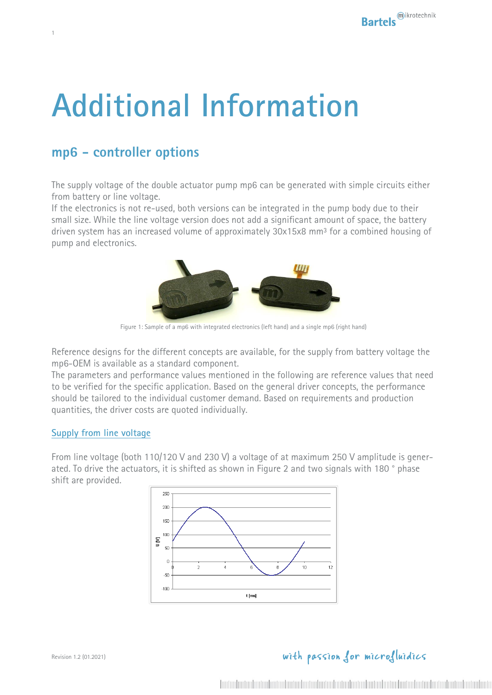# **Additional Information**

## **mp6 - controller options**

1

The supply voltage of the double actuator pump mp6 can be generated with simple circuits either from battery or line voltage.

If the electronics is not re-used, both versions can be integrated in the pump body due to their small size. While the line voltage version does not add a significant amount of space, the battery driven system has an increased volume of approximately 30x15x8 mm<sup>3</sup> for a combined housing of pump and electronics.



Figure 1: Sample of a mp6 with integrated electronics (left hand) and a single mp6 (right hand)

<span id="page-0-0"></span>Reference designs for the different concepts are available, for the supply from battery voltage the mp6-OEM is available as a standard component.

The parameters and performance values mentioned in the following are reference values that need to be verified for the specific application. Based on the general driver concepts, the performance should be tailored to the individual customer demand. Based on requirements and production quantities, the driver costs are quoted individually.

#### **Supply from line voltage**

From line voltage (both 110/120 V and 230 V) a voltage of at maximum 250 V amplitude is generated. To drive the actuators, it is shifted as shown in [Figure 2](#page-1-0) and two signals with 180 ° phase shift are provided.

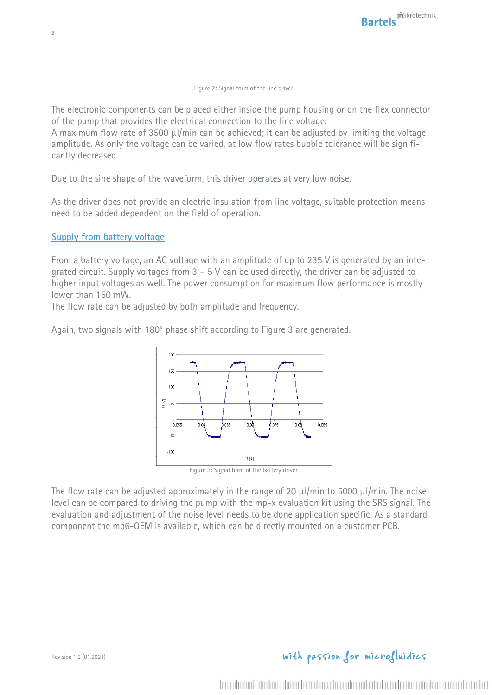#### Figure 2: Signal form of the line driver

<span id="page-1-0"></span>The electronic components can be placed either inside the pump housing or on the flex connector of the pump that provides the electrical connection to the line voltage.

A maximum flow rate of 3500  $\mu$ l/min can be achieved; it can be adjusted by limiting the voltage amplitude. As only the voltage can be varied, at low flow rates bubble tolerance will be significantly decreased.

Due to the sine shape of the waveform, this driver operates at very low noise.

As the driver does not provide an electric insulation from line voltage, suitable protection means need to be added dependent on the field of operation.

#### **Supply from battery voltage**

From a battery voltage, an AC voltage with an amplitude of up to 235 V is generated by an integrated circuit. Supply voltages from  $3 - 5$  V can be used directly, the driver can be adjusted to higher input voltages as well. The power consumption for maximum flow performance is mostly lower than 150 mW.

The flow rate can be adjusted by both amplitude and frequency.

Again, two signals with 180° phase shift according to [Figure 3](#page-1-1) are generated.



<span id="page-1-1"></span>The flow rate can be adjusted approximately in the range of 20  $\mu$ l/min to 5000  $\mu$ l/min. The noise level can be compared to driving the pump with the mp-x evaluation kit using the SRS signal. The evaluation and adjustment of the noise level needs to be done application specific. As a standard component the mp6-OEM is available, which can be directly mounted on a customer PCB.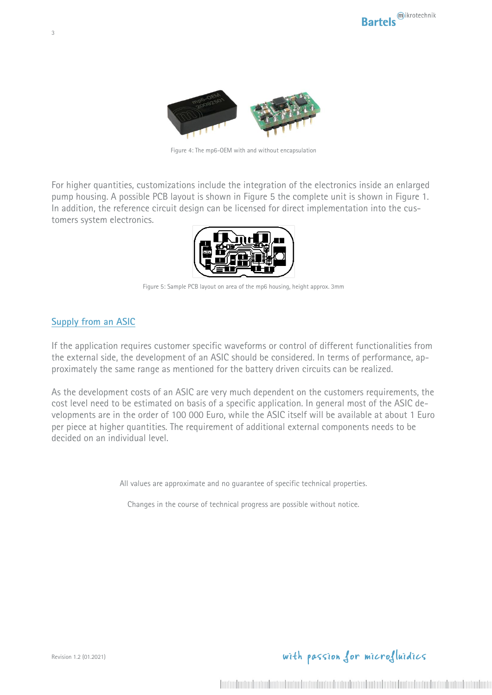

Figure 4: The mp6-OEM with and without encapsulation

For higher quantities, customizations include the integration of the electronics inside an enlarged pump housing. A possible PCB layout is shown in [Figure 5](#page-2-0) the complete unit is shown in [Figure 1.](#page-0-0) In addition, the reference circuit design can be licensed for direct implementation into the customers system electronics.



Figure 5: Sample PCB layout on area of the mp6 housing, height approx. 3mm

#### <span id="page-2-0"></span>**Supply from an ASIC**

If the application requires customer specific waveforms or control of different functionalities from the external side, the development of an ASIC should be considered. In terms of performance, approximately the same range as mentioned for the battery driven circuits can be realized.

As the development costs of an ASIC are very much dependent on the customers requirements, the cost level need to be estimated on basis of a specific application. In general most of the ASIC developments are in the order of 100 000 Euro, while the ASIC itself will be available at about 1 Euro per piece at higher quantities. The requirement of additional external components needs to be decided on an individual level.

All values are approximate and no guarantee of specific technical properties.

Changes in the course of technical progress are possible without notice.